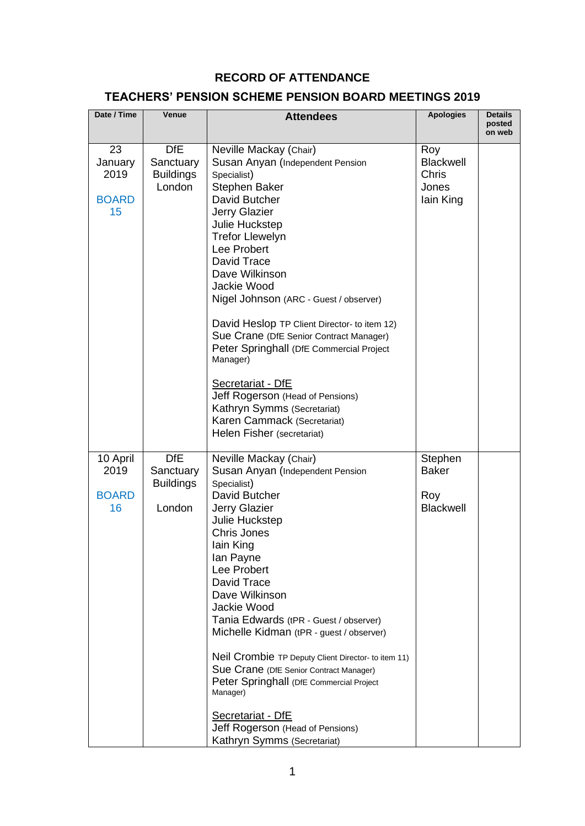## **RECORD OF ATTENDANCE**

## **TEACHERS' PENSION SCHEME PENSION BOARD MEETINGS 2019**

| Date / Time                                 | Venue                                                 | <b>Attendees</b>                                                                                                                                                                                                                                                                                                                                                                                                                                                                                                                                                                                        | <b>Apologies</b>                                              | <b>Details</b><br>posted<br>on web |
|---------------------------------------------|-------------------------------------------------------|---------------------------------------------------------------------------------------------------------------------------------------------------------------------------------------------------------------------------------------------------------------------------------------------------------------------------------------------------------------------------------------------------------------------------------------------------------------------------------------------------------------------------------------------------------------------------------------------------------|---------------------------------------------------------------|------------------------------------|
| 23<br>January<br>2019<br><b>BOARD</b><br>15 | <b>DfE</b><br>Sanctuary<br><b>Buildings</b><br>London | Neville Mackay (Chair)<br>Susan Anyan (Independent Pension<br>Specialist)<br><b>Stephen Baker</b><br>David Butcher<br><b>Jerry Glazier</b><br>Julie Huckstep<br><b>Trefor Llewelyn</b><br>Lee Probert<br>David Trace<br>Dave Wilkinson<br>Jackie Wood<br>Nigel Johnson (ARC - Guest / observer)<br>David Heslop TP Client Director- to item 12)<br>Sue Crane (DfE Senior Contract Manager)<br>Peter Springhall (DfE Commercial Project<br>Manager)<br>Secretariat - DfE<br>Jeff Rogerson (Head of Pensions)<br>Kathryn Symms (Secretariat)<br>Karen Cammack (Secretariat)<br>Helen Fisher (secretariat) | Roy<br><b>Blackwell</b><br><b>Chris</b><br>Jones<br>lain King |                                    |
| 10 April<br>2019<br><b>BOARD</b><br>16      | <b>DfE</b><br>Sanctuary<br><b>Buildings</b><br>London | Neville Mackay (Chair)<br>Susan Anyan (Independent Pension<br>Specialist)<br>David Butcher<br><b>Jerry Glazier</b><br>Julie Huckstep<br><b>Chris Jones</b><br>lain King<br>lan Payne<br>Lee Probert<br>David Trace<br>Dave Wilkinson<br>Jackie Wood<br>Tania Edwards (tPR - Guest / observer)<br>Michelle Kidman (tPR - guest / observer)<br>Neil Crombie TP Deputy Client Director- to item 11)<br>Sue Crane (DfE Senior Contract Manager)<br>Peter Springhall (DfE Commercial Project<br>Manager)<br>Secretariat - DfE<br>Jeff Rogerson (Head of Pensions)<br>Kathryn Symms (Secretariat)             | Stephen<br><b>Baker</b><br>Roy<br><b>Blackwell</b>            |                                    |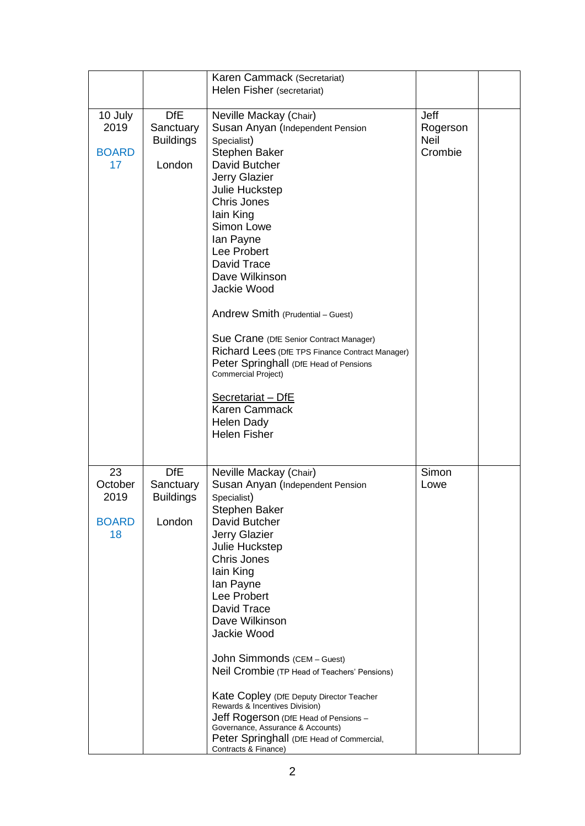|                                             |                                                       | Karen Cammack (Secretariat)                                                                                                                                                                                                                                                                                                                                                                                                                                                                                                                                                     |                                            |  |
|---------------------------------------------|-------------------------------------------------------|---------------------------------------------------------------------------------------------------------------------------------------------------------------------------------------------------------------------------------------------------------------------------------------------------------------------------------------------------------------------------------------------------------------------------------------------------------------------------------------------------------------------------------------------------------------------------------|--------------------------------------------|--|
|                                             |                                                       | Helen Fisher (secretariat)                                                                                                                                                                                                                                                                                                                                                                                                                                                                                                                                                      |                                            |  |
| 10 July<br>2019<br><b>BOARD</b><br>17       | <b>DfE</b><br>Sanctuary<br><b>Buildings</b><br>London | Neville Mackay (Chair)<br>Susan Anyan (Independent Pension<br>Specialist)<br><b>Stephen Baker</b><br>David Butcher<br><b>Jerry Glazier</b><br>Julie Huckstep<br><b>Chris Jones</b><br>lain King<br>Simon Lowe<br>lan Payne<br>Lee Probert<br>David Trace<br>Dave Wilkinson<br>Jackie Wood<br>Andrew Smith (Prudential - Guest)<br>Sue Crane (DfE Senior Contract Manager)<br>Richard Lees (DfE TPS Finance Contract Manager)<br>Peter Springhall (DfE Head of Pensions<br>Commercial Project)<br>Secretariat - DfE<br>Karen Cammack<br><b>Helen Dady</b><br><b>Helen Fisher</b> | Jeff<br>Rogerson<br><b>Neil</b><br>Crombie |  |
| 23<br>October<br>2019<br><b>BOARD</b><br>18 | <b>DfE</b><br>Sanctuary<br><b>Buildings</b><br>London | Neville Mackay (Chair)<br>Susan Anyan (Independent Pension<br>Specialist)<br>Stephen Baker<br>David Butcher<br>Jerry Glazier<br>Julie Huckstep<br>Chris Jones<br>lain King<br>lan Payne<br>Lee Probert<br>David Trace<br>Dave Wilkinson<br>Jackie Wood<br>John Simmonds (CEM - Guest)<br>Neil Crombie (TP Head of Teachers' Pensions)<br>Kate Copley (DfE Deputy Director Teacher<br>Rewards & Incentives Division)<br>Jeff Rogerson (DfE Head of Pensions -<br>Governance, Assurance & Accounts)<br>Peter Springhall (DfE Head of Commercial,<br>Contracts & Finance)          | Simon<br>Lowe                              |  |